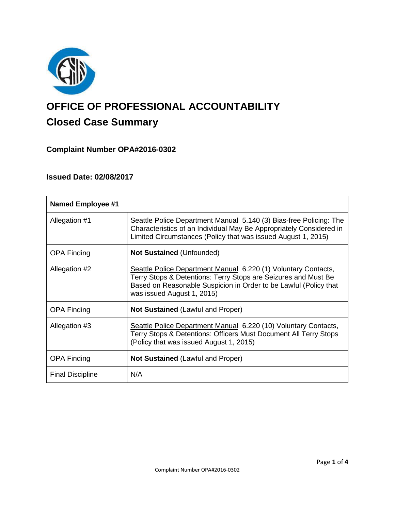

# **OFFICE OF PROFESSIONAL ACCOUNTABILITY Closed Case Summary**

# **Complaint Number OPA#2016-0302**

## **Issued Date: 02/08/2017**

| <b>Named Employee #1</b> |                                                                                                                                                                                                                                    |
|--------------------------|------------------------------------------------------------------------------------------------------------------------------------------------------------------------------------------------------------------------------------|
| Allegation #1            | Seattle Police Department Manual 5.140 (3) Bias-free Policing: The<br>Characteristics of an Individual May Be Appropriately Considered in<br>Limited Circumstances (Policy that was issued August 1, 2015)                         |
| <b>OPA Finding</b>       | <b>Not Sustained (Unfounded)</b>                                                                                                                                                                                                   |
| Allegation #2            | Seattle Police Department Manual 6.220 (1) Voluntary Contacts,<br>Terry Stops & Detentions: Terry Stops are Seizures and Must Be<br>Based on Reasonable Suspicion in Order to be Lawful (Policy that<br>was issued August 1, 2015) |
| <b>OPA Finding</b>       | <b>Not Sustained (Lawful and Proper)</b>                                                                                                                                                                                           |
| Allegation #3            | Seattle Police Department Manual 6.220 (10) Voluntary Contacts,<br>Terry Stops & Detentions: Officers Must Document All Terry Stops<br>(Policy that was issued August 1, 2015)                                                     |
| <b>OPA Finding</b>       | <b>Not Sustained (Lawful and Proper)</b>                                                                                                                                                                                           |
| <b>Final Discipline</b>  | N/A                                                                                                                                                                                                                                |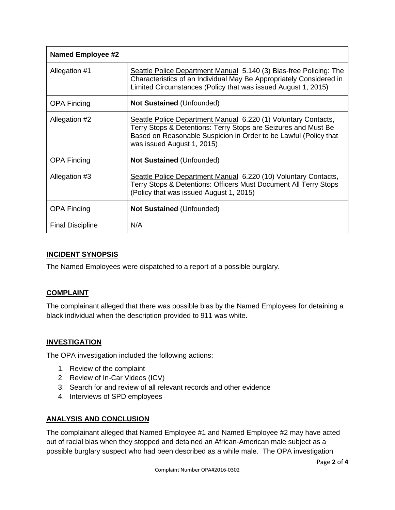| <b>Named Employee #2</b> |                                                                                                                                                                                                                                    |
|--------------------------|------------------------------------------------------------------------------------------------------------------------------------------------------------------------------------------------------------------------------------|
| Allegation #1            | Seattle Police Department Manual 5.140 (3) Bias-free Policing: The<br>Characteristics of an Individual May Be Appropriately Considered in<br>Limited Circumstances (Policy that was issued August 1, 2015)                         |
| <b>OPA Finding</b>       | <b>Not Sustained (Unfounded)</b>                                                                                                                                                                                                   |
| Allegation #2            | Seattle Police Department Manual 6.220 (1) Voluntary Contacts,<br>Terry Stops & Detentions: Terry Stops are Seizures and Must Be<br>Based on Reasonable Suspicion in Order to be Lawful (Policy that<br>was issued August 1, 2015) |
| <b>OPA Finding</b>       | <b>Not Sustained (Unfounded)</b>                                                                                                                                                                                                   |
| Allegation #3            | Seattle Police Department Manual 6.220 (10) Voluntary Contacts,<br>Terry Stops & Detentions: Officers Must Document All Terry Stops<br>(Policy that was issued August 1, 2015)                                                     |
| <b>OPA Finding</b>       | <b>Not Sustained (Unfounded)</b>                                                                                                                                                                                                   |
| <b>Final Discipline</b>  | N/A                                                                                                                                                                                                                                |

## **INCIDENT SYNOPSIS**

The Named Employees were dispatched to a report of a possible burglary.

## **COMPLAINT**

The complainant alleged that there was possible bias by the Named Employees for detaining a black individual when the description provided to 911 was white.

## **INVESTIGATION**

The OPA investigation included the following actions:

- 1. Review of the complaint
- 2. Review of In-Car Videos (ICV)
- 3. Search for and review of all relevant records and other evidence
- 4. Interviews of SPD employees

#### **ANALYSIS AND CONCLUSION**

The complainant alleged that Named Employee #1 and Named Employee #2 may have acted out of racial bias when they stopped and detained an African-American male subject as a possible burglary suspect who had been described as a while male. The OPA investigation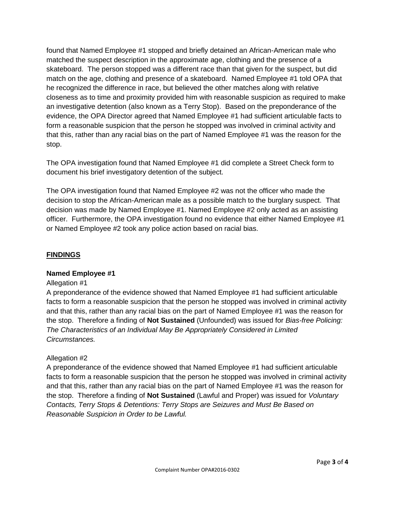found that Named Employee #1 stopped and briefly detained an African-American male who matched the suspect description in the approximate age, clothing and the presence of a skateboard. The person stopped was a different race than that given for the suspect, but did match on the age, clothing and presence of a skateboard. Named Employee #1 told OPA that he recognized the difference in race, but believed the other matches along with relative closeness as to time and proximity provided him with reasonable suspicion as required to make an investigative detention (also known as a Terry Stop). Based on the preponderance of the evidence, the OPA Director agreed that Named Employee #1 had sufficient articulable facts to form a reasonable suspicion that the person he stopped was involved in criminal activity and that this, rather than any racial bias on the part of Named Employee #1 was the reason for the stop.

The OPA investigation found that Named Employee #1 did complete a Street Check form to document his brief investigatory detention of the subject.

The OPA investigation found that Named Employee #2 was not the officer who made the decision to stop the African-American male as a possible match to the burglary suspect. That decision was made by Named Employee #1. Named Employee #2 only acted as an assisting officer. Furthermore, the OPA investigation found no evidence that either Named Employee #1 or Named Employee #2 took any police action based on racial bias.

## **FINDINGS**

## **Named Employee #1**

#### Allegation #1

A preponderance of the evidence showed that Named Employee #1 had sufficient articulable facts to form a reasonable suspicion that the person he stopped was involved in criminal activity and that this, rather than any racial bias on the part of Named Employee #1 was the reason for the stop. Therefore a finding of **Not Sustained** (Unfounded) was issued for *Bias-free Policing: The Characteristics of an Individual May Be Appropriately Considered in Limited Circumstances.*

#### Allegation #2

A preponderance of the evidence showed that Named Employee #1 had sufficient articulable facts to form a reasonable suspicion that the person he stopped was involved in criminal activity and that this, rather than any racial bias on the part of Named Employee #1 was the reason for the stop. Therefore a finding of **Not Sustained** (Lawful and Proper) was issued for *Voluntary Contacts, Terry Stops & Detentions: Terry Stops are Seizures and Must Be Based on Reasonable Suspicion in Order to be Lawful.*